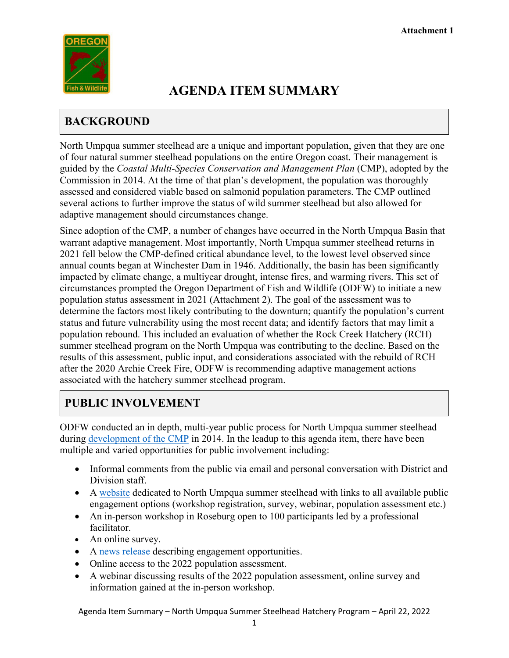

# **AGENDA ITEM SUMMARY**

## **BACKGROUND**

North Umpqua summer steelhead are a unique and important population, given that they are one of four natural summer steelhead populations on the entire Oregon coast. Their management is guided by the *Coastal Multi-Species Conservation and Management Plan* (CMP), adopted by the Commission in 2014. At the time of that plan's development, the population was thoroughly assessed and considered viable based on salmonid population parameters. The CMP outlined several actions to further improve the status of wild summer steelhead but also allowed for adaptive management should circumstances change.

Since adoption of the CMP, a number of changes have occurred in the North Umpqua Basin that warrant adaptive management. Most importantly, North Umpqua summer steelhead returns in 2021 fell below the CMP-defined critical abundance level, to the lowest level observed since annual counts began at Winchester Dam in 1946. Additionally, the basin has been significantly impacted by climate change, a multiyear drought, intense fires, and warming rivers. This set of circumstances prompted the Oregon Department of Fish and Wildlife (ODFW) to initiate a new population status assessment in 2021 (Attachment 2). The goal of the assessment was to determine the factors most likely contributing to the downturn; quantify the population's current status and future vulnerability using the most recent data; and identify factors that may limit a population rebound. This included an evaluation of whether the Rock Creek Hatchery (RCH) summer steelhead program on the North Umpqua was contributing to the decline. Based on the results of this assessment, public input, and considerations associated with the rebuild of RCH after the 2020 Archie Creek Fire, ODFW is recommending adaptive management actions associated with the hatchery summer steelhead program.

## **PUBLIC INVOLVEMENT**

ODFW conducted an in depth, multi-year public process for North Umpqua summer steelhead during [development](https://www.dfw.state.or.us/agency/commission/minutes/14/06_june/Exhibit%20K_Attachment%201_Agenda%20Item%20Summary.pdf) of the CMP in 2014. In the leadup to this agenda item, there have been multiple and varied opportunities for public involvement including:

- Informal comments from the public via email and personal conversation with District and Division staff.
- A [website](https://www.dfw.state.or.us/fish/CRP/north_umpqua_summer_steelhead.asp) dedicated to North Umpqua summer steelhead with links to all available public engagement options (workshop registration, survey, webinar, population assessment etc.)
- An in-person workshop in Roseburg open to 100 participants led by a professional facilitator.
- An online survey.
- A [news release](https://www.dfw.state.or.us/news/2022/03_Mar/031722.asp) describing engagement opportunities.
- Online access to the 2022 population assessment.
- A webinar discussing results of the 2022 population assessment, online survey and information gained at the in-person workshop.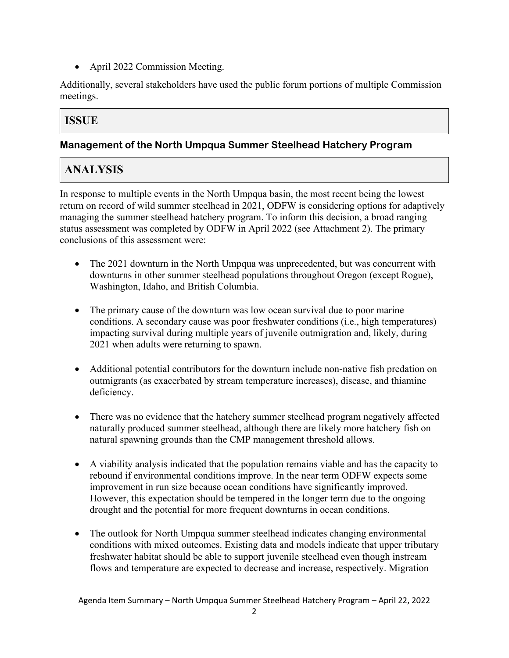• April 2022 Commission Meeting.

Additionally, several stakeholders have used the public forum portions of multiple Commission meetings.

### **ISSUE**

#### **Management of the North Umpqua Summer Steelhead Hatchery Program**

## **ANALYSIS**

In response to multiple events in the North Umpqua basin, the most recent being the lowest return on record of wild summer steelhead in 2021, ODFW is considering options for adaptively managing the summer steelhead hatchery program. To inform this decision, a broad ranging status assessment was completed by ODFW in April 2022 (see Attachment 2). The primary conclusions of this assessment were:

- The 2021 downturn in the North Umpqua was unprecedented, but was concurrent with downturns in other summer steelhead populations throughout Oregon (except Rogue), Washington, Idaho, and British Columbia.
- The primary cause of the downturn was low ocean survival due to poor marine conditions. A secondary cause was poor freshwater conditions (i.e., high temperatures) impacting survival during multiple years of juvenile outmigration and, likely, during 2021 when adults were returning to spawn.
- Additional potential contributors for the downturn include non-native fish predation on outmigrants (as exacerbated by stream temperature increases), disease, and thiamine deficiency.
- There was no evidence that the hatchery summer steelhead program negatively affected naturally produced summer steelhead, although there are likely more hatchery fish on natural spawning grounds than the CMP management threshold allows.
- A viability analysis indicated that the population remains viable and has the capacity to rebound if environmental conditions improve. In the near term ODFW expects some improvement in run size because ocean conditions have significantly improved. However, this expectation should be tempered in the longer term due to the ongoing drought and the potential for more frequent downturns in ocean conditions.
- The outlook for North Umpqua summer steelhead indicates changing environmental conditions with mixed outcomes. Existing data and models indicate that upper tributary freshwater habitat should be able to support juvenile steelhead even though instream flows and temperature are expected to decrease and increase, respectively. Migration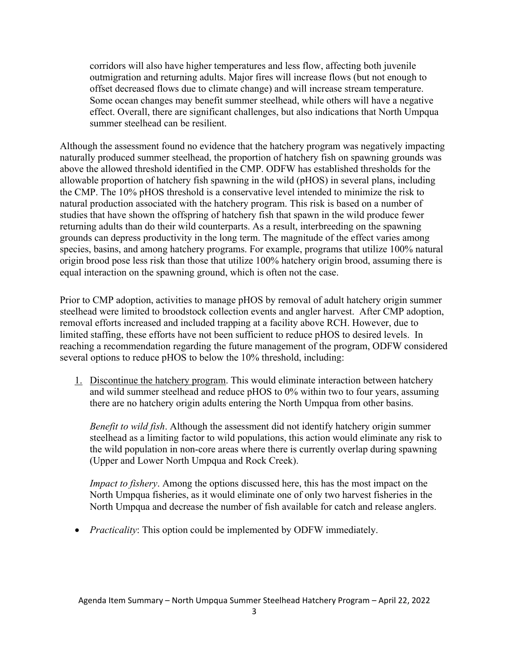corridors will also have higher temperatures and less flow, affecting both juvenile outmigration and returning adults. Major fires will increase flows (but not enough to offset decreased flows due to climate change) and will increase stream temperature. Some ocean changes may benefit summer steelhead, while others will have a negative effect. Overall, there are significant challenges, but also indications that North Umpqua summer steelhead can be resilient.

Although the assessment found no evidence that the hatchery program was negatively impacting naturally produced summer steelhead, the proportion of hatchery fish on spawning grounds was above the allowed threshold identified in the CMP. ODFW has established thresholds for the allowable proportion of hatchery fish spawning in the wild (pHOS) in several plans, including the CMP. The 10% pHOS threshold is a conservative level intended to minimize the risk to natural production associated with the hatchery program. This risk is based on a number of studies that have shown the offspring of hatchery fish that spawn in the wild produce fewer returning adults than do their wild counterparts. As a result, interbreeding on the spawning grounds can depress productivity in the long term. The magnitude of the effect varies among species, basins, and among hatchery programs. For example, programs that utilize 100% natural origin brood pose less risk than those that utilize 100% hatchery origin brood, assuming there is equal interaction on the spawning ground, which is often not the case.

Prior to CMP adoption, activities to manage pHOS by removal of adult hatchery origin summer steelhead were limited to broodstock collection events and angler harvest. After CMP adoption, removal efforts increased and included trapping at a facility above RCH. However, due to limited staffing, these efforts have not been sufficient to reduce pHOS to desired levels. In reaching a recommendation regarding the future management of the program, ODFW considered several options to reduce pHOS to below the 10% threshold, including:

1. Discontinue the hatchery program. This would eliminate interaction between hatchery and wild summer steelhead and reduce pHOS to 0% within two to four years, assuming there are no hatchery origin adults entering the North Umpqua from other basins.

*Benefit to wild fish*. Although the assessment did not identify hatchery origin summer steelhead as a limiting factor to wild populations, this action would eliminate any risk to the wild population in non-core areas where there is currently overlap during spawning (Upper and Lower North Umpqua and Rock Creek).

*Impact to fishery*. Among the options discussed here, this has the most impact on the North Umpqua fisheries, as it would eliminate one of only two harvest fisheries in the North Umpqua and decrease the number of fish available for catch and release anglers.

• *Practicality*: This option could be implemented by ODFW immediately.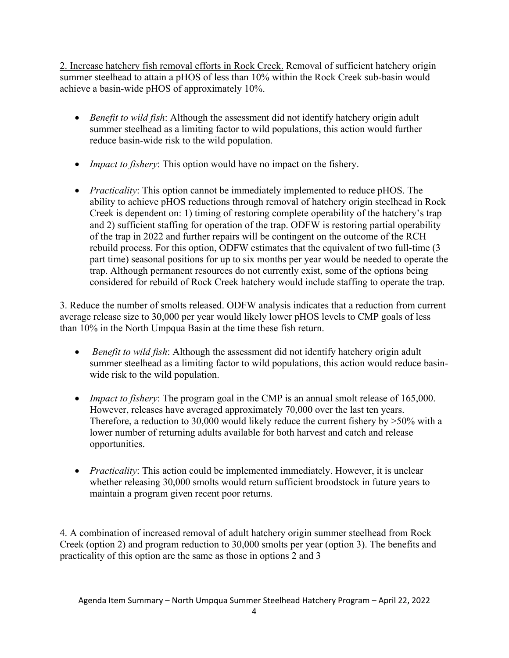2. Increase hatchery fish removal efforts in Rock Creek. Removal of sufficient hatchery origin summer steelhead to attain a pHOS of less than 10% within the Rock Creek sub-basin would achieve a basin-wide pHOS of approximately 10%.

- *Benefit to wild fish*: Although the assessment did not identify hatchery origin adult summer steelhead as a limiting factor to wild populations, this action would further reduce basin-wide risk to the wild population.
- *Impact to fishery*: This option would have no impact on the fishery.
- *Practicality*: This option cannot be immediately implemented to reduce pHOS. The ability to achieve pHOS reductions through removal of hatchery origin steelhead in Rock Creek is dependent on: 1) timing of restoring complete operability of the hatchery's trap and 2) sufficient staffing for operation of the trap. ODFW is restoring partial operability of the trap in 2022 and further repairs will be contingent on the outcome of the RCH rebuild process. For this option, ODFW estimates that the equivalent of two full-time (3 part time) seasonal positions for up to six months per year would be needed to operate the trap. Although permanent resources do not currently exist, some of the options being considered for rebuild of Rock Creek hatchery would include staffing to operate the trap.

3. Reduce the number of smolts released. ODFW analysis indicates that a reduction from current average release size to 30,000 per year would likely lower pHOS levels to CMP goals of less than 10% in the North Umpqua Basin at the time these fish return.

- *Benefit to wild fish*: Although the assessment did not identify hatchery origin adult summer steelhead as a limiting factor to wild populations, this action would reduce basinwide risk to the wild population.
- *Impact to fishery*: The program goal in the CMP is an annual smolt release of 165,000. However, releases have averaged approximately 70,000 over the last ten years. Therefore, a reduction to 30,000 would likely reduce the current fishery by  $>50\%$  with a lower number of returning adults available for both harvest and catch and release opportunities.
- *Practicality*: This action could be implemented immediately. However, it is unclear whether releasing 30,000 smolts would return sufficient broodstock in future years to maintain a program given recent poor returns.

4. A combination of increased removal of adult hatchery origin summer steelhead from Rock Creek (option 2) and program reduction to 30,000 smolts per year (option 3). The benefits and practicality of this option are the same as those in options 2 and 3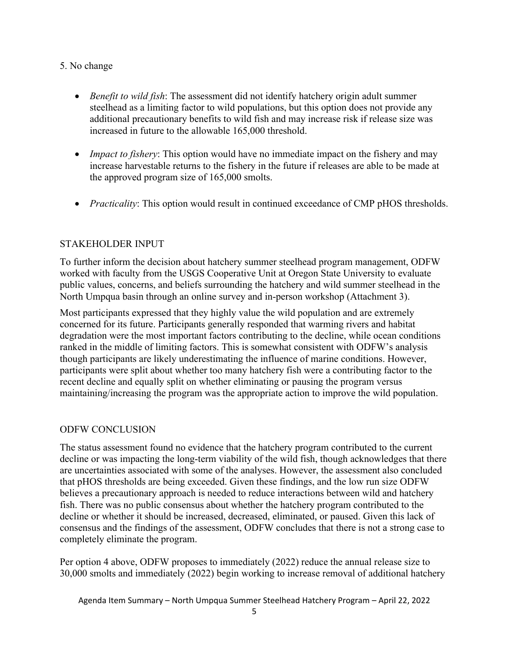#### 5. No change

- *Benefit to wild fish*: The assessment did not identify hatchery origin adult summer steelhead as a limiting factor to wild populations, but this option does not provide any additional precautionary benefits to wild fish and may increase risk if release size was increased in future to the allowable 165,000 threshold.
- *Impact to fishery*: This option would have no immediate impact on the fishery and may increase harvestable returns to the fishery in the future if releases are able to be made at the approved program size of 165,000 smolts.
- *Practicality:* This option would result in continued exceedance of CMP pHOS thresholds.

#### STAKEHOLDER INPUT

To further inform the decision about hatchery summer steelhead program management, ODFW worked with faculty from the USGS Cooperative Unit at Oregon State University to evaluate public values, concerns, and beliefs surrounding the hatchery and wild summer steelhead in the North Umpqua basin through an online survey and in-person workshop (Attachment 3).

Most participants expressed that they highly value the wild population and are extremely concerned for its future. Participants generally responded that warming rivers and habitat degradation were the most important factors contributing to the decline, while ocean conditions ranked in the middle of limiting factors. This is somewhat consistent with ODFW's analysis though participants are likely underestimating the influence of marine conditions. However, participants were split about whether too many hatchery fish were a contributing factor to the recent decline and equally split on whether eliminating or pausing the program versus maintaining/increasing the program was the appropriate action to improve the wild population.

#### ODFW CONCLUSION

The status assessment found no evidence that the hatchery program contributed to the current decline or was impacting the long-term viability of the wild fish, though acknowledges that there are uncertainties associated with some of the analyses. However, the assessment also concluded that pHOS thresholds are being exceeded. Given these findings, and the low run size ODFW believes a precautionary approach is needed to reduce interactions between wild and hatchery fish. There was no public consensus about whether the hatchery program contributed to the decline or whether it should be increased, decreased, eliminated, or paused. Given this lack of consensus and the findings of the assessment, ODFW concludes that there is not a strong case to completely eliminate the program.

Per option 4 above, ODFW proposes to immediately (2022) reduce the annual release size to 30,000 smolts and immediately (2022) begin working to increase removal of additional hatchery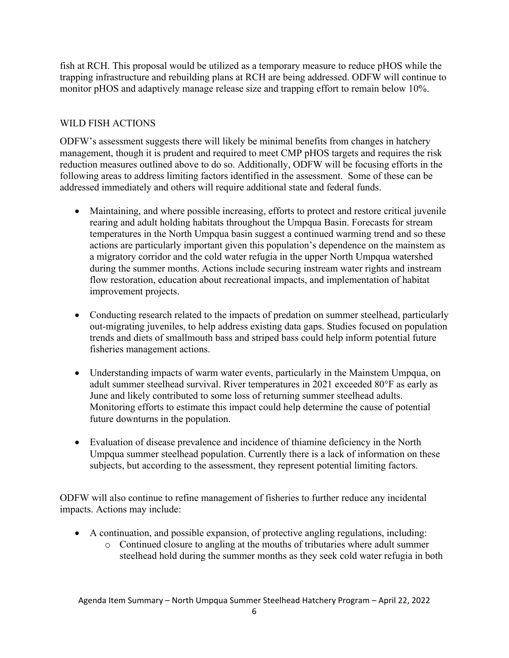fish at RCH. This proposal would be utilized as a temporary measure to reduce pHOS while the trapping infrastructure and rebuilding plans at RCH are being addressed. ODFW will continue to monitor pHOS and adaptively manage release size and trapping effort to remain below 10%.

#### WILD FISH ACTIONS

ODFW's assessment suggests there will likely be minimal benefits from changes in hatchery management, though it is prudent and required to meet CMP pHOS targets and requires the risk reduction measures outlined above to do so. Additionally, ODFW will be focusing efforts in the following areas to address limiting factors identified in the assessment. Some of these can be addressed immediately and others will require additional state and federal funds.

- Maintaining, and where possible increasing, efforts to protect and restore critical juvenile rearing and adult holding habitats throughout the Umpqua Basin. Forecasts for stream temperatures in the North Umpqua basin suggest a continued warming trend and so these actions are particularly important given this population's dependence on the mainstem as a migratory corridor and the cold water refugia in the upper North Umpqua watershed during the summer months. Actions include securing instream water rights and instream flow restoration, education about recreational impacts, and implementation of habitat improvement projects.
- Conducting research related to the impacts of predation on summer steelhead, particularly out-migrating juveniles, to help address existing data gaps. Studies focused on population trends and diets of smallmouth bass and striped bass could help inform potential future fisheries management actions.
- Understanding impacts of warm water events, particularly in the Mainstem Umpqua, on adult summer steelhead survival. River temperatures in 2021 exceeded 80°F as early as June and likely contributed to some loss of returning summer steelhead adults. Monitoring efforts to estimate this impact could help determine the cause of potential future downturns in the population.
- Evaluation of disease prevalence and incidence of thiamine deficiency in the North Umpqua summer steelhead population. Currently there is a lack of information on these subjects, but according to the assessment, they represent potential limiting factors.

ODFW will also continue to refine management of fisheries to further reduce any incidental impacts. Actions may include:

- A continuation, and possible expansion, of protective angling regulations, including:
	- o Continued closure to angling at the mouths of tributaries where adult summer steelhead hold during the summer months as they seek cold water refugia in both